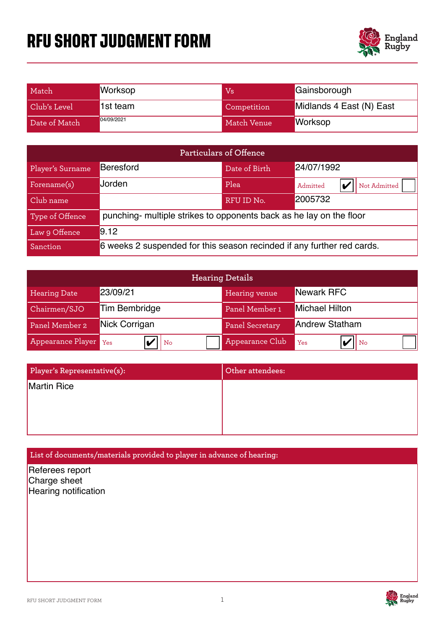# **RFU SHORT JUDGMENT FORM**



| Match         | <b>Worksop</b> | Vs          | Gainsborough             |
|---------------|----------------|-------------|--------------------------|
| Club's Level  | 1st team       | Competition | Midlands 4 East (N) East |
| Date of Match | 04/09/2021     | Match Venue | <b>Worksop</b>           |

| Particulars of Offence |                                                                        |               |                          |  |  |
|------------------------|------------------------------------------------------------------------|---------------|--------------------------|--|--|
| Player's Surname       | <b>Beresford</b>                                                       | Date of Birth | 24/07/1992               |  |  |
| Forename(s)            | Jorden                                                                 | Plea          | Not Admitted<br>Admitted |  |  |
| Club name              |                                                                        | RFU ID No.    | 2005732                  |  |  |
| Type of Offence        | punching- multiple strikes to opponents back as he lay on the floor    |               |                          |  |  |
| Law 9 Offence          | 9.12                                                                   |               |                          |  |  |
| Sanction               | 6 weeks 2 suspended for this season recinded if any further red cards. |               |                          |  |  |

| <b>Hearing Details</b> |                      |                        |                       |  |  |
|------------------------|----------------------|------------------------|-----------------------|--|--|
| <b>Hearing Date</b>    | 23/09/21             | Hearing venue          | Newark RFC            |  |  |
| Chairmen/SJO           | <b>Tim Bembridge</b> | Panel Member 1         | <b>Michael Hilton</b> |  |  |
| Panel Member 2         | Nick Corrigan        | <b>Panel Secretary</b> | <b>Andrew Statham</b> |  |  |
| Appearance Player Yes  | No                   | Appearance Club        | Yes<br>II No          |  |  |

| Player's Representative(s): | Other attendees: |
|-----------------------------|------------------|
| Martin Rice                 |                  |
|                             |                  |
|                             |                  |

## **List of documents/materials provided to player in advance of hearing:**

Referees report Charge sheet **Hearing notification** 

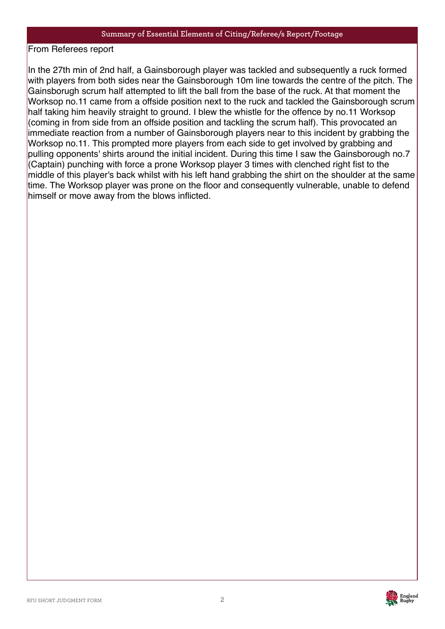From Referees report

In the 27th min of 2nd half, a Gainsborough player was tackled and subsequently a ruck formed with players from both sides near the Gainsborough 10m line towards the centre of the pitch. The Gainsborugh scrum half attempted to lift the ball from the base of the ruck. At that moment the Worksop no.11 came from a offside position next to the ruck and tackled the Gainsborough scrum half taking him heavily straight to ground. I blew the whistle for the offence by no.11 Worksop (coming in from side from an offside position and tackling the scrum half). This provocated an immediate reaction from a number of Gainsborough players near to this incident by grabbing the Worksop no.11. This prompted more players from each side to get involved by grabbing and pulling opponents' shirts around the initial incident. During this time I saw the Gainsborough no.7 (Captain) punching with force a prone Worksop player 3 times with clenched right fist to the middle of this player's back whilst with his left hand grabbing the shirt on the shoulder at the same time. The Worksop player was prone on the floor and consequently vulnerable, unable to defend himself or move away from the blows inflicted.

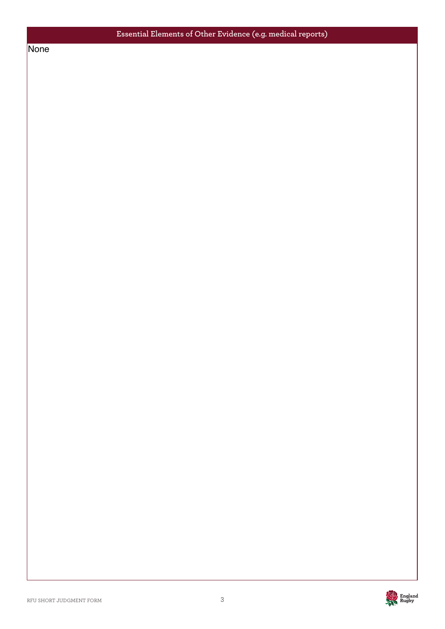## **Essential Elements of Other Evidence (e.g. medical reports)**

None **None** 

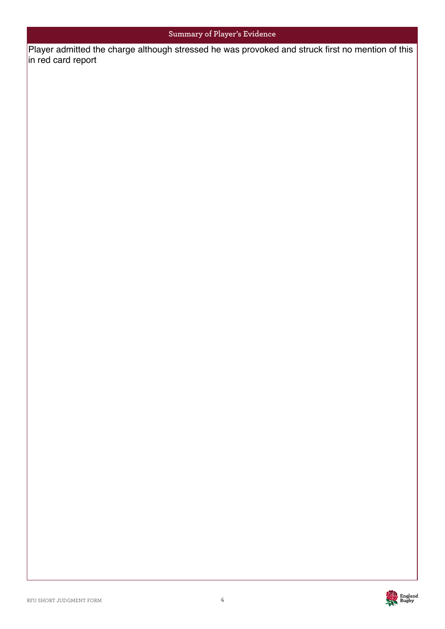### **Summary of Player's Evidence**

Player admitted the charge although stressed he was provoked and struck first no mention of this in red card report

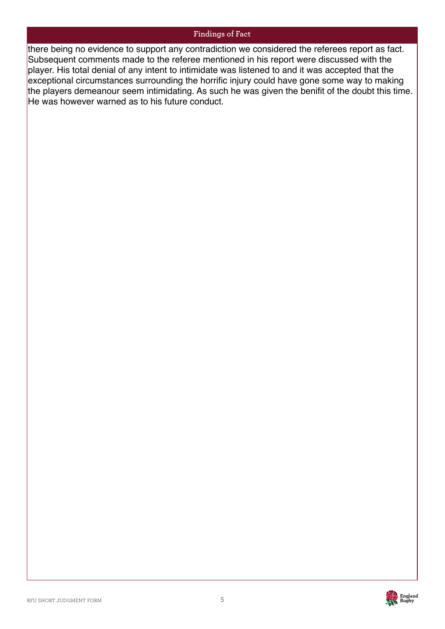#### **Findings of Fact**

there being no evidence to support any contradiction we considered the referees report as fact. Subsequent comments made to the referee mentioned in his report were discussed with the player. His total denial of any intent to intimidate was listened to and it was accepted that the exceptional circumstances surrounding the horrific injury could have gone some way to making the players demeanour seem intimidating. As such he was given the benifit of the doubt this time. He was however warned as to his future conduct.

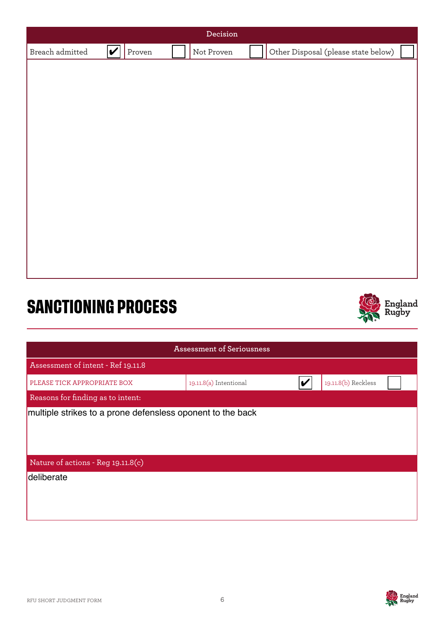| Decision                              |        |            |                                     |  |  |  |
|---------------------------------------|--------|------------|-------------------------------------|--|--|--|
| $ \boldsymbol{v} $<br>Breach admitted | Proven | Not Proven | Other Disposal (please state below) |  |  |  |
|                                       |        |            |                                     |  |  |  |
|                                       |        |            |                                     |  |  |  |
|                                       |        |            |                                     |  |  |  |
|                                       |        |            |                                     |  |  |  |
|                                       |        |            |                                     |  |  |  |
|                                       |        |            |                                     |  |  |  |
|                                       |        |            |                                     |  |  |  |
|                                       |        |            |                                     |  |  |  |
|                                       |        |            |                                     |  |  |  |
|                                       |        |            |                                     |  |  |  |
|                                       |        |            |                                     |  |  |  |
|                                       |        |            |                                     |  |  |  |
|                                       |        |            |                                     |  |  |  |
|                                       |        |            |                                     |  |  |  |
|                                       |        |            | <b>LA</b>                           |  |  |  |

# **SANCTIONING PROCESS**



| <b>Assessment of Seriousness</b>                           |                        |  |                     |  |  |  |
|------------------------------------------------------------|------------------------|--|---------------------|--|--|--|
| Assessment of intent - Ref 19.11.8                         |                        |  |                     |  |  |  |
| PLEASE TICK APPROPRIATE BOX                                | 19.11.8(a) Intentional |  | 19.11.8(b) Reckless |  |  |  |
| Reasons for finding as to intent:                          |                        |  |                     |  |  |  |
| multiple strikes to a prone defensless oponent to the back |                        |  |                     |  |  |  |
| Nature of actions - Reg 19.11.8(c)                         |                        |  |                     |  |  |  |
| deliberate                                                 |                        |  |                     |  |  |  |

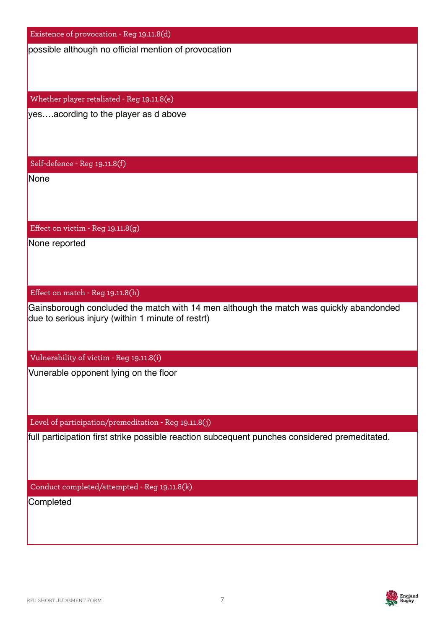Existence of provocation - Reg 19.11.8(d)

Whether player retaliated - Reg 19.11.8(e)

Self-defence - Reg 19.11.8(f)

Effect on victim - Reg 19.11.8(g)

Effect on match - Reg 19.11.8(h)

possible although no official mention of provocation<br>
Whether player retaliated - Reg 19.11.8(c)<br>
yes.....acording to the player as d above<br>
Self-defence - Reg 19.11.8(f)<br>
None<br>
Self-defence - Reg 19.11.8(f)<br>
None<br>
Chice o due to serious injury (within 1 minute of restrt) yes….acording to the player as d above<br>
Self-defence - Reg 19.11.8(f)<br>
None<br>
Effect on victim - Reg 19.11.8(g)<br>
None reported<br>
Effect on match - Reg 19.11.8(h)<br>
Gainsborough concluded the match with<br>
due to serious injury

Vulnerability of victim - Reg 19.11.8(i)

Level of participation/premeditation - Reg 19.11.8(j)

Conduct completed/attempted - Reg 19.11.8(k)

**Completed** 

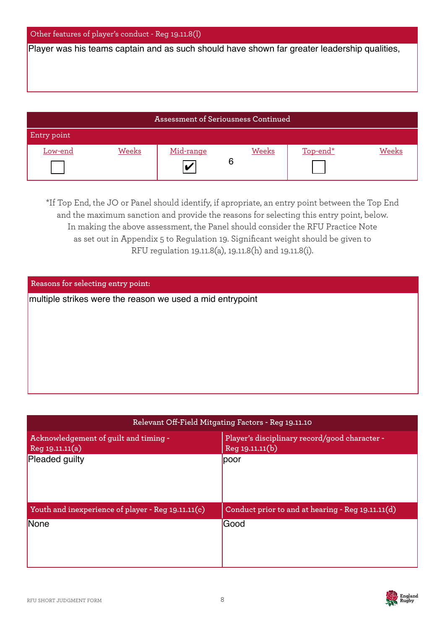#### Other features of player's conduct - Reg 19.11.8(l)

| Assessment of Seriousness Continued |       |           |  |       |          |       |
|-------------------------------------|-------|-----------|--|-------|----------|-------|
| Entry point                         |       |           |  |       |          |       |
| Low-end                             | Weeks | Mid-range |  | Weeks | Top-end* | Weeks |
|                                     |       | lv        |  |       |          |       |

| Player was his teams captain and as such should have shown far greater leadership qualities,                                                                                                                                                                                                                                                                                                                               |                                            |                 |              |                                               |                                                   |  |  |
|----------------------------------------------------------------------------------------------------------------------------------------------------------------------------------------------------------------------------------------------------------------------------------------------------------------------------------------------------------------------------------------------------------------------------|--------------------------------------------|-----------------|--------------|-----------------------------------------------|---------------------------------------------------|--|--|
|                                                                                                                                                                                                                                                                                                                                                                                                                            |                                            |                 |              |                                               |                                                   |  |  |
|                                                                                                                                                                                                                                                                                                                                                                                                                            |                                            |                 |              |                                               |                                                   |  |  |
|                                                                                                                                                                                                                                                                                                                                                                                                                            | <b>Assessment of Seriousness Continued</b> |                 |              |                                               |                                                   |  |  |
| Entry point                                                                                                                                                                                                                                                                                                                                                                                                                |                                            |                 |              |                                               |                                                   |  |  |
| <b>Weeks</b><br>Low-end                                                                                                                                                                                                                                                                                                                                                                                                    | Mid-range<br>V                             | 6               | <b>Weeks</b> | Top-end*                                      | <b>Weeks</b>                                      |  |  |
| *If Top End, the JO or Panel should identify, if apropriate, an entry point between the Top End<br>and the maximum sanction and provide the reasons for selecting this entry point, below.<br>In making the above assessment, the Panel should consider the RFU Practice Note<br>as set out in Appendix 5 to Regulation 19. Significant weight should be given to<br>RFU regulation 19.11.8(a), 19.11.8(h) and 19.11.8(i). |                                            |                 |              |                                               |                                                   |  |  |
| Reasons for selecting entry point:                                                                                                                                                                                                                                                                                                                                                                                         |                                            |                 |              |                                               |                                                   |  |  |
| multiple strikes were the reason we used a mid entrypoint                                                                                                                                                                                                                                                                                                                                                                  |                                            |                 |              |                                               |                                                   |  |  |
|                                                                                                                                                                                                                                                                                                                                                                                                                            |                                            |                 |              |                                               |                                                   |  |  |
| Relevant Off-Field Mitgating Factors - Reg 19.11.10                                                                                                                                                                                                                                                                                                                                                                        |                                            |                 |              |                                               |                                                   |  |  |
| Acknowledgement of guilt and timing -<br>Reg 19.11.11(a)                                                                                                                                                                                                                                                                                                                                                                   |                                            | Reg 19.11.11(b) |              | Player's disciplinary record/good character - |                                                   |  |  |
| Pleaded guilty                                                                                                                                                                                                                                                                                                                                                                                                             |                                            | poor            |              |                                               |                                                   |  |  |
|                                                                                                                                                                                                                                                                                                                                                                                                                            |                                            |                 |              |                                               |                                                   |  |  |
| Youth and inexperience of player - Reg 19.11.11(c)                                                                                                                                                                                                                                                                                                                                                                         |                                            |                 |              |                                               | Conduct prior to and at hearing - Reg 19.11.11(d) |  |  |
| None                                                                                                                                                                                                                                                                                                                                                                                                                       |                                            | Good            |              |                                               |                                                   |  |  |

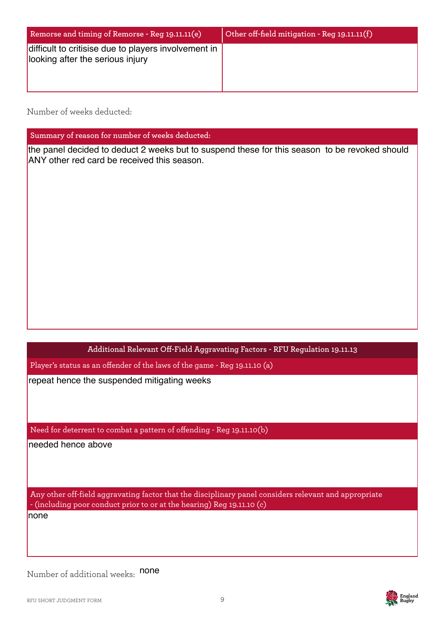| Remorse and timing of Remorse - Reg 19.11.11(e)                                          | Other off-field mitigation - Reg 19.11.11(f) |
|------------------------------------------------------------------------------------------|----------------------------------------------|
| difficult to critisise due to players involvement in<br>looking after the serious injury |                                              |

Number of weeks deducted:

**Summary of reason for number of weeks deducted:**

the panel decided to deduct 2 weeks but to suspend these for this season to be revoked should ANY other red card be received this season.

**Additional Relevant Off-Field Aggravating Factors - RFU Regulation 19.11.13** 

Player's status as an offender of the laws of the game - Reg 19.11.10 (a)

Need for deterrent to combat a pattern of offending - Reg 19.11.10(b)

Any other off-field aggravating factor that the disciplinary panel considers relevant and appropriate - (including poor conduct prior to or at the hearing) Reg 19.11.10 (c) repeat hence the suspended mitigating weeks<br>Need for deterrent to combat a pattern of offending<br>needed hence above<br>Any other off-field aggravating factor that the disci<br>- (including poor conduct prior to or at the hearing)

Number of additional weeks: none